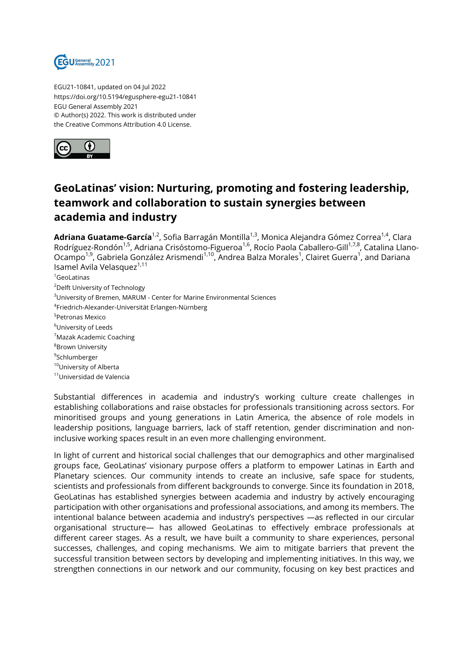

EGU21-10841, updated on 04 Jul 2022 https://doi.org/10.5194/egusphere-egu21-10841 EGU General Assembly 2021 © Author(s) 2022. This work is distributed under the Creative Commons Attribution 4.0 License.



## **GeoLatinas' vision: Nurturing, promoting and fostering leadership, teamwork and collaboration to sustain synergies between academia and industry**

Adriana Guatame-García<sup>1,2</sup>, Sofia Barragán Montilla<sup>1,3</sup>, Monica Alejandra Gómez Correa<sup>1,4</sup>, Clara Rodríguez-Rondón<sup>1,5</sup>, Adriana Crisóstomo-Figueroa<sup>1,6</sup>, Rocío Paola Caballero-Gill<sup>1,7,8</sup>, Catalina Llano-Ocampo<sup>1,9</sup>, Gabriela González Arismendi<sup>1,10</sup>, Andrea Balza Morales<sup>1</sup>, Clairet Guerra<sup>1</sup>, and Dariana Isamel Avila Velasquez<sup>1,11</sup>

<sup>1</sup>GeoLatinas

<sup>2</sup>Delft University of Technology

<sup>3</sup>University of Bremen, MARUM - Center for Marine Environmental Sciences

4 Friedrich-Alexander-Universität Erlangen-Nürnberg

5 Petronas Mexico

<sup>6</sup>University of Leeds

<sup>7</sup>Mazak Academic Coaching

<sup>8</sup>Brown University

<sup>9</sup>Schlumberger

<sup>10</sup>University of Alberta

<sup>11</sup>Universidad de Valencia

Substantial differences in academia and industry's working culture create challenges in establishing collaborations and raise obstacles for professionals transitioning across sectors. For minoritised groups and young generations in Latin America, the absence of role models in leadership positions, language barriers, lack of staff retention, gender discrimination and noninclusive working spaces result in an even more challenging environment.

In light of current and historical social challenges that our demographics and other marginalised groups face, GeoLatinas' visionary purpose offers a platform to empower Latinas in Earth and Planetary sciences. Our community intends to create an inclusive, safe space for students, scientists and professionals from different backgrounds to converge. Since its foundation in 2018, GeoLatinas has established synergies between academia and industry by actively encouraging participation with other organisations and professional associations, and among its members. The intentional balance between academia and industry's perspectives —as reflected in our circular organisational structure— has allowed GeoLatinas to effectively embrace professionals at different career stages. As a result, we have built a community to share experiences, personal successes, challenges, and coping mechanisms. We aim to mitigate barriers that prevent the successful transition between sectors by developing and implementing initiatives. In this way, we strengthen connections in our network and our community, focusing on key best practices and